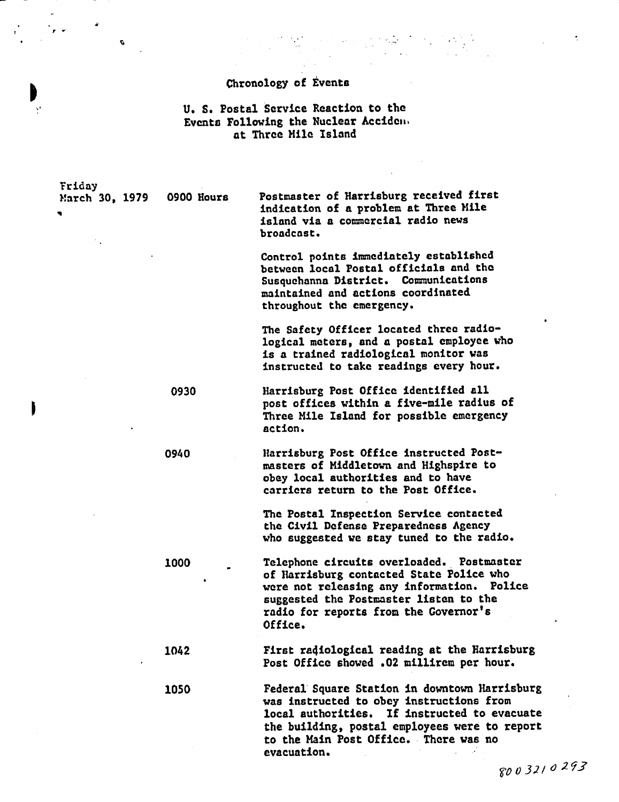### Chronology of **Events**

 $\mathcal{L}(\mathcal{C})$ 

 $\mathbb{R}^3$  .

 $\mathcal{O}(\mathcal{O}_\mathcal{O})$  .

 $\ddot{\gamma}$ 

Y ,

 $\pmb{\mathcal{G}}$ 

#### U. S. Postal Service Reaction to the Events Following the Nuclear Accideii at Three Mile Island

| Friday              |            |                                                                                                                                                                                                                                                    |
|---------------------|------------|----------------------------------------------------------------------------------------------------------------------------------------------------------------------------------------------------------------------------------------------------|
| March 30, 1979<br>۹ | 0900 Hours | Postmaster of Harrisburg received first<br>indication of a problem at Three Mile<br>island via a commercial radio news<br>broadcast.                                                                                                               |
|                     |            | Control points immediately established<br>between local Postal officials and the<br>Susquehanna District. Communications<br>maintained and actions coordinated<br>throughout the emergency.                                                        |
|                     |            | The Safety Officer located three radio-<br>logical meters, and a postal employee who<br>is a trained radiological monitor was<br>instructed to take readings every hour.                                                                           |
|                     | 0930       | Harrisburg Post Office identified all<br>post offices within a five-mile radius of<br>Three Mile Island for possible emergency<br>action.                                                                                                          |
|                     | 0940       | Harrisburg Post Office instructed Post-<br>masters of Middletown and Highspire to<br>obey local authorities and to have<br>carriers return to the Post Office.                                                                                     |
|                     |            | The Postal Inspection Service contacted<br>the Civil Defense Preparedness Agency<br>who suggested we stay tuned to the radio.                                                                                                                      |
|                     | 1000       | Telephone circuits overloaded. Postmaster<br>of Harrisburg contacted State Police who<br>were not releasing any information. Police<br>suggested the Postmaster listen to the<br>radio for reports from the Governor's<br>Office.                  |
|                     | 1042       | First radiological reading at the Harrisburg<br>Post Office showed .02 millirem per hour.                                                                                                                                                          |
|                     | 1050       | Federal Square Station in downtown Harrisburg<br>was instructed to obey instructions from<br>local authorities. If instructed to evacuate<br>the building, postal employees were to report<br>to the Main Post Office. There was no<br>evacuation. |
|                     |            | 8003210293                                                                                                                                                                                                                                         |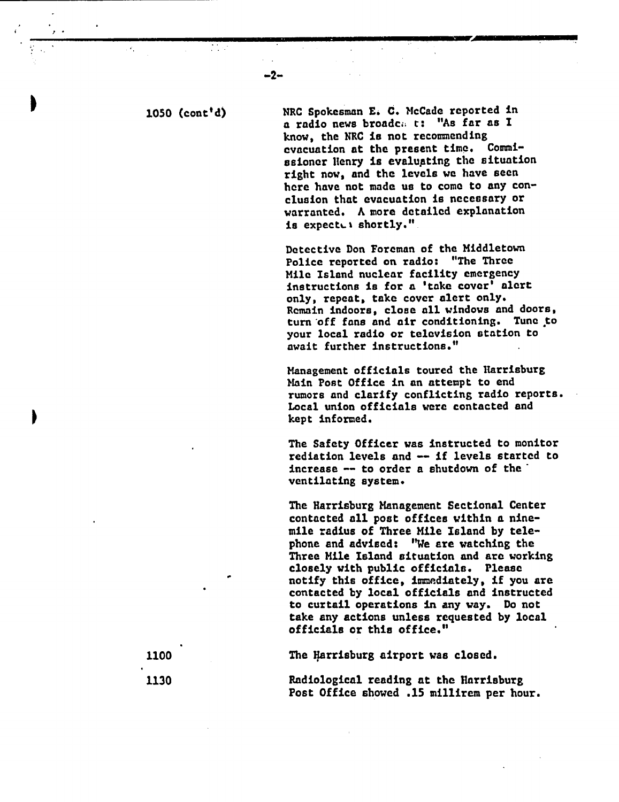the control

 $\mathbf{r}^{\prime}$ 

-2-

<sup>1050</sup>(cont'd) NRC Spokesman E. C. McCadc reported in a radio news broadc.. t: "As far as I know, the NRC is not recommending evacuation at the present time. Commissioner Henry is evaluating the situation right now, and the levels we have seen here have not made us to come to any conclusion that evacuation is necessary or warranted. A more detailed explanation is expected shortly."

> Detective Don Foreman of the Middletown Police reported on radio: "The Three Mile Island nuclear facility emergency instructions is for a 'take cover' alert only, repeat, take cover alert only. Remain indoors, close all windows and doors, turn off fans and air conditioning. Tune to your local radio or television station to await further instructions."

Management officials toured the Harrisburg Main Post Office in an attempt to end rumors and clarify conflicting radio reports. Local union officials were contacted and kept informed.

The Safety Officer was instructed to monitor rediation levels and -- if levels started to increase  $-$  to order a shutdown of the  $\overline{ }$ ventilating system.

The Harrisburg Management Sectional Center contacted all post offices within a ninemile radius of Three Mile Island by telephone and advised: "We are watching the Three Mile Island situation and are working closely with public officials. Please notify this office, immediately, if you are contacted by local officials and instructed to curtail operations in any way. Do not take any actions unless requested by local officials or this office."

1100 The Harrisburg airport was closed.

1130 Radiological reading at the Harrisburg Post Office showed .15 millirem per hour.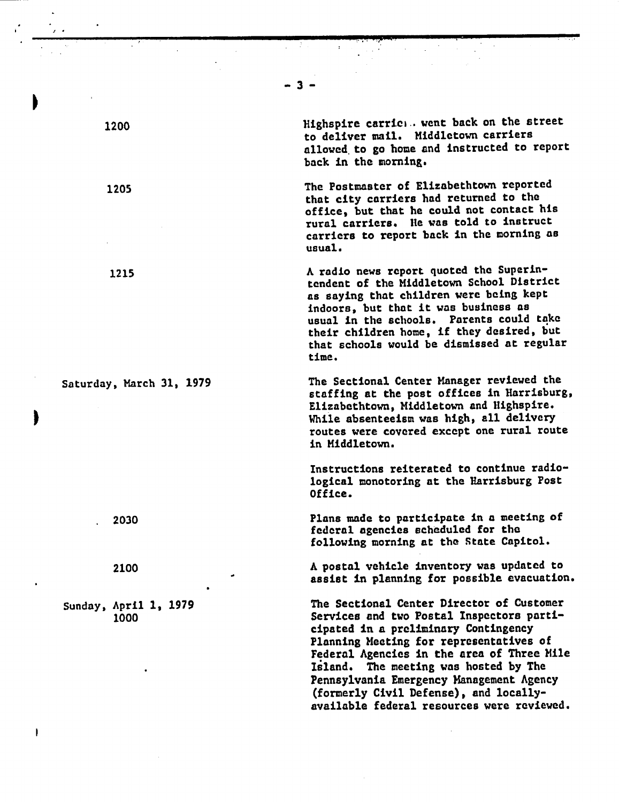- 3 -

I I

Highspire carriei. went back on the street to deliver mail. Middletown carriers allowed to go home and instructed to report back in the morning.

The Postmaster of Elizabethtown reported that city carriers had returned to the office, but that he could not contact his rural carriers. lie was told to instruct carriers to report back in the morning **aB** usual.

A radio news report quoted the Superintendent of the Middletown School District as saying that children were being kept indoors, but that it was business as usual in the schools. Parents could take their children home, if they desired, but that schools would be dismissed at regular time.

The Sectional Center Manager reviewed the staffing at the post offices in Harrisburg, Elizabethtown, Middletown and Nighspire. While absenteeism was high, all delivery routes were covered except one rural route in Middletown.

Instructions reiterated to continue radiological monotoring at the Harrisburg Post Office.

Plans made to participate in a meeting of federal agencies scheduled for the following morning at the State Capitol.

A postal vehicle inventory was updated to assist in planning for possible evacuation.

The Sectional Center Director of Customer Services and two Postal Inspectors participated in a preliminary Contingency Planning Heeting for representatives of Federal Agencies in the area of Three Mile Island. The meeting was hosted by The Pennsylvania Emergency Management Agency (formerly Civil Defense), and locallyavailable federal resources were reviewed.

1200

 $\blacksquare$ 

I

I

1205

1215

Saturday, March 31, 1979

2030

2100

Sunday, April 1, 1979 1000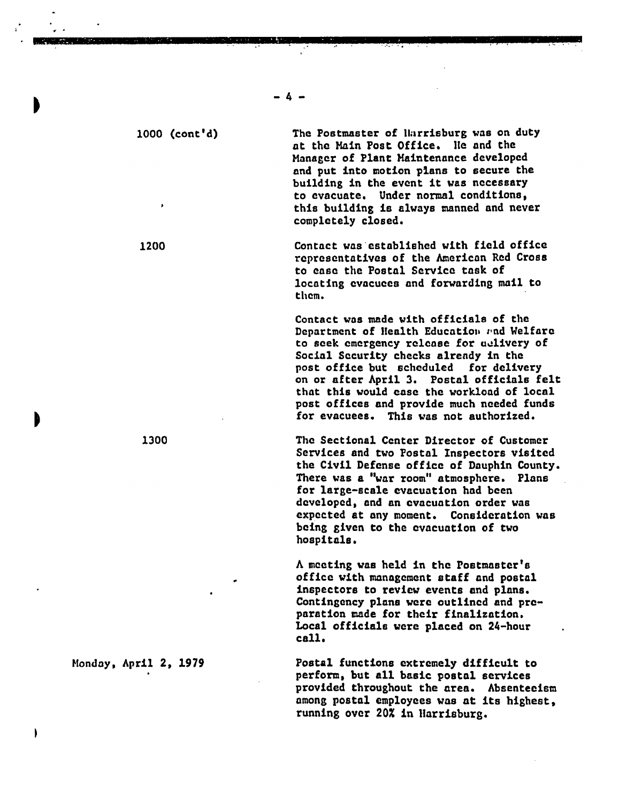1000 (cont'd) The Postmaster of llarrisburg was on duty at the Main Post Office. Ile and the Manager of Plant Maintenance developed and put into motion plans to secure the building in the event it was necessary to evacuate. Under normal conditions, this building is always manned and never completely closed.

> Contact was established with field office representatives of the American Red Cross to ease the Postal Service task of locating evacuees and forwarding mail to them.

Contact was made with officials of the Department of Health Education and Welfare to seek emergency release for udlivery of Social Security checks already in the post office but scheduled for delivery on or after April 3. Postal officials felt that this would ease the workload of local post offices and provide much needed funds for evacuees. This was not authorized.

1300 The Sectional Center Director of Customer Services and two Postal Inspectors visited the Civil Defense office of Dauphin County. There was a "war room" atmosphere. Plans for large-scale evacuation had been developed, and an evacuation order was expected at any moment. Consideration was being given to the evacuation of two hospitals.

> A meeting was held in the Postmaster's office with management staff and postal inspectors to review events and plans. Contingency plans were outlined and preparation made for their finalization. Local officials were placed on 24-hour call.

Monday, April 2, 1979 Postal functions extremely difficult to perform, but all basic postal services provided throughout the area. Absenteeism among postal employees was at its highest, running over 20% in Harrisburg.

1200

I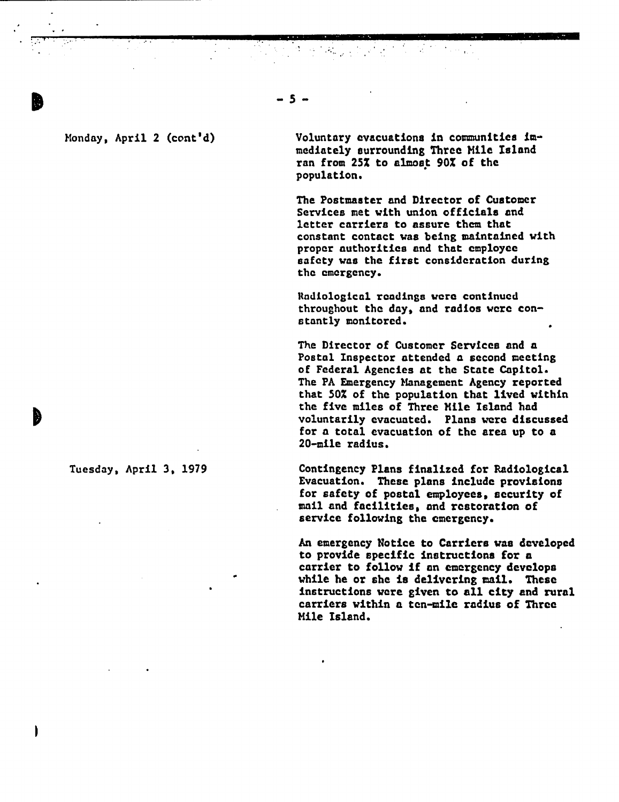#### Monday, April 2 (cont'd)

b

Voluntary evacuations in communities immediately surrounding Three Mile Island ran from 25% to almost 90% of the population.

The Postmaster and Director of Customer Services met with union officials and letter carriers to assure then that constant contact was being maintained with proper authorities and that employee safety was the first consideration during the emergency.

Radiological readings were continued throughout the day, and radios were constantly monitored.

The Director of Customer Services and a Postal Inspector attended a second meeting of Federal Agencies at the State Capitol. The PA Emergency Management Agency reported that 50% of the population that lived within the five miles of Three Mile Island had voluntarily evacuated. Plans were discussed for a total evacuation of the area up to a 20-mile radius.

Tuesday, April 3, 1979 Contingency Plans finalized for Radiological Evacuation. These plans include provisions for safety of postal employees, security of mail and facilities, and restoration of service following the emergency.

> An emergency Notice to Carriers was developed to provide specific instructions for a carrier to follow if an emergency develops while he or she is delivering mail. These instructions were given to all city and rural carriers within a ten-mile radius of Three Mile Island.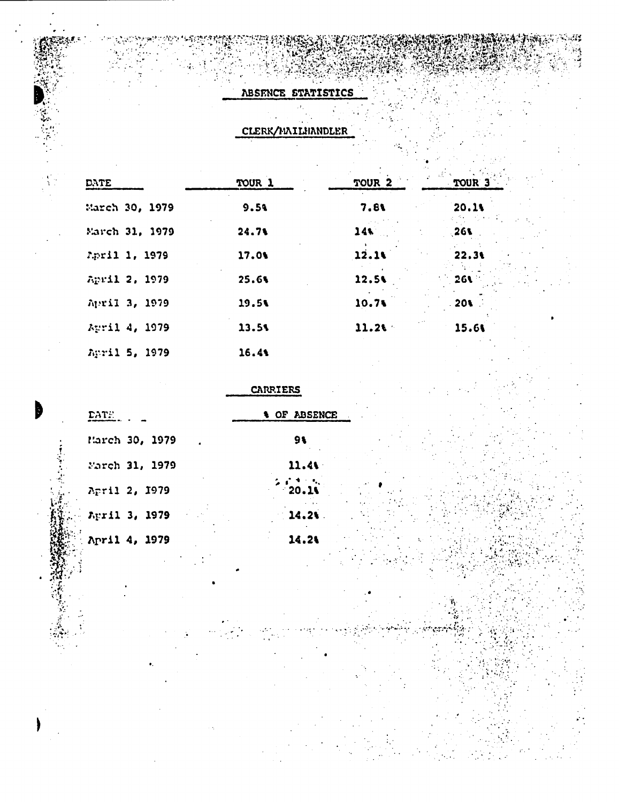#### ABSENCE STATISTICS

**PMr,**

h

۱

CLERK/MAILHANDLER

| DATE           | TOUR 1 | TOUR <sub>2</sub> | 見合い<br>TOUR <sup>3</sup> |  |
|----------------|--------|-------------------|--------------------------|--|
| March 30, 1979 | 9.59   | 7.81              | 20.11                    |  |
| March 31, 1979 | 24.71  | 14                | 261                      |  |
| April 1, 1979  | 17.01  | 12.14             | 22.31                    |  |
| April 2, 1979  | 25.6%  | 12.5%             | 26J                      |  |
| April 3, 1979  | 19.5%  | 10.71             | .201                     |  |
| April 4, 1979  | 13.5%  | 11.26             | 15.61                    |  |
| April 5, 1979  | 16.4%  |                   |                          |  |

#### CARRIERS

| DATE.          | <b>&amp; OF ABSENCE</b> |  |
|----------------|-------------------------|--|
| March 30, 1979 | 91                      |  |
| Farch 31, 1979 | 11.41                   |  |
| April 2, 1979  | 20.19                   |  |
| April 3, 1979  | 14.21                   |  |
| April 4, 1979  | 14.21                   |  |
|                |                         |  |

14.2A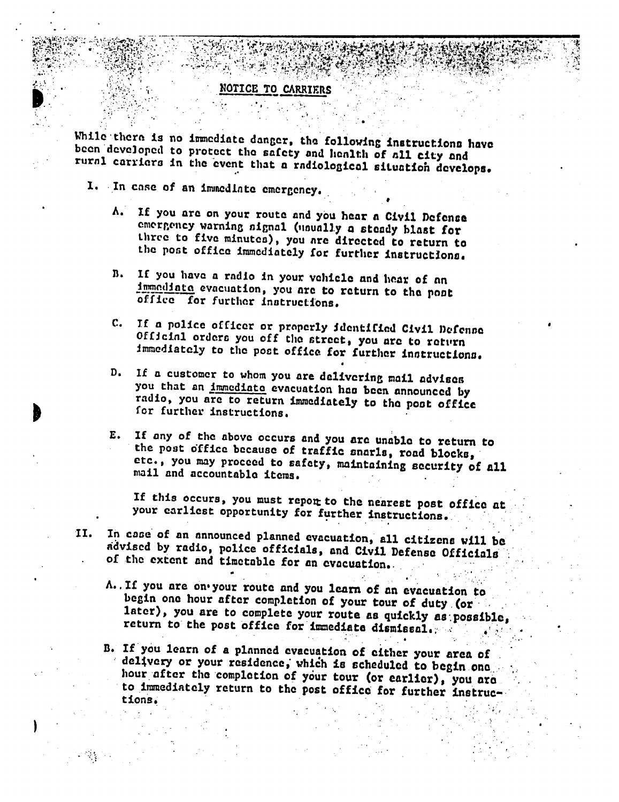#### NOTICE TO CARRIERS

 $i = \frac{1}{2}$  . The state of the state of the state of the state of the state of the state of the state of the state of the state of the state of the state of the state of the state of the state of the state of the state of

While there is no immediate danger, the following instructions have been developed to protect the safety and health of all city and rurnl carriers in the event that a radiological situation develops.

I. **.In** case of an iminedlnto emergency.

sh @ n **.** \*-st~ <sup>n</sup>

 $\mathbf{H}^{\text{H}}$ 

)

- A. If you are on your route and you hear a Civil Defense emergency warning aignal (snually a steady blast for three to five minutes), you are directed to return to the post office immediately for further instructions.
- B. If you have a radio in your vehicle and hear of an immodiate evacuation, you are to return to the pont office for further instructions.
- C. If a police officer or properly identified Civil Defense Official orders you off the street, you are to return immediately to the post office for further instructions.
- D. If a customer to whom you are delivering mail advises you that an immediate evacuation has been announced by radio, you are to return immediately to the post office<br>for further instructions.
- E. If any of the above occurs and you are unable to return to the post office because of traffic snarls, road blocka, etc., you may proceed to safety, maintaining security of all mail and accountable items.

If this occurs, you must report to the nearest post office at your earliest opportunity for further instructions.

- II. In case of an announced planned evacuation, all citizens will be advised by radio, police officials, and Civil Defense Officials of the extent and timetable for an evacuation..
	- A. If you are on your route and you learn of an evacuation to<br>begin one hour after completion of your tour of duty (or<br>later), you are to complete your route as quickly as possible,<br>return to the post office for immediate
	- B. If you learn of a planned evacuation of either your area of<br>delivery or your residence, which is scheduled to begin one<br>hour after the completion of your tour (or earlier), you are<br>to immediately return to the post offi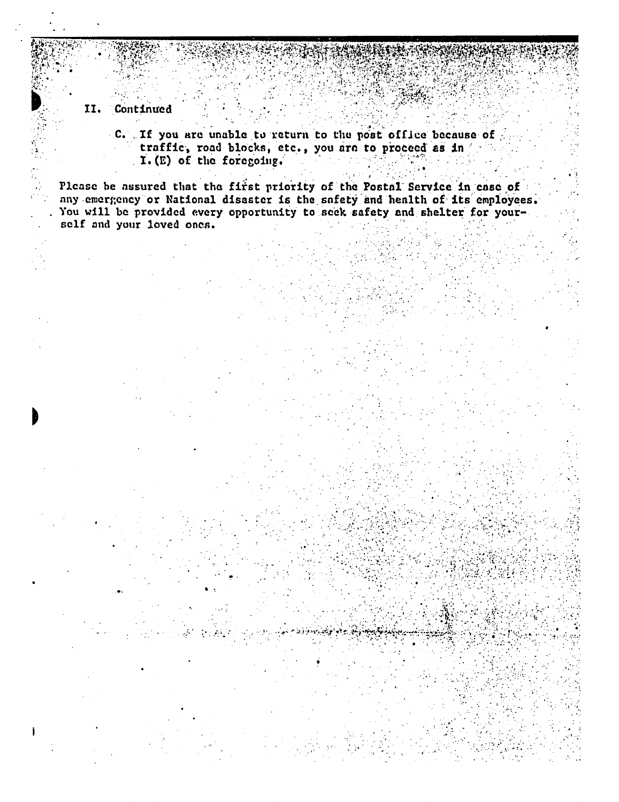#### II. Continued

C. If you are unable to return to the post office because of traffic, road blocks, etc., you are to proceed as in I. (E) of the foregoing.

Please be assured that the first priority of the Postal Service in case of any emergency or National disaster is the safety and health of its employees. You will be provided every opportunity to seek safety and shelter for yourself and your loved ones.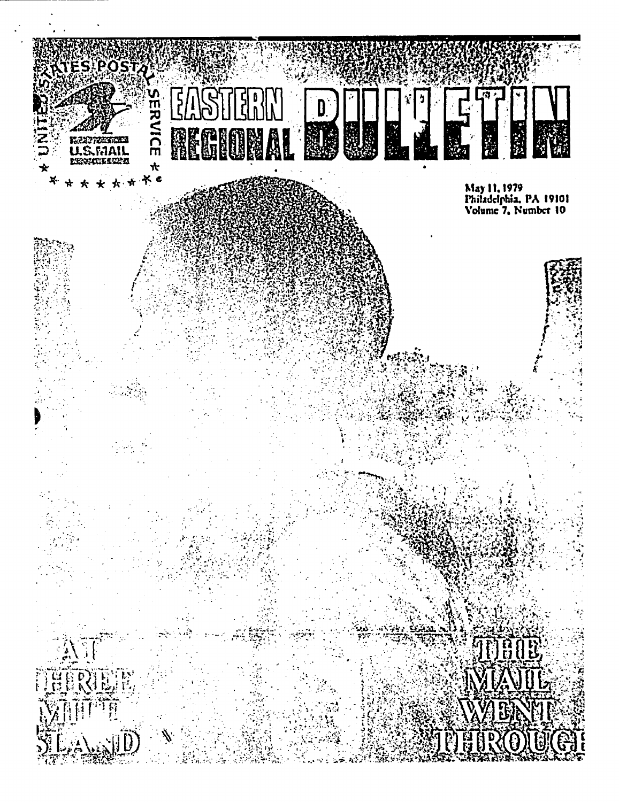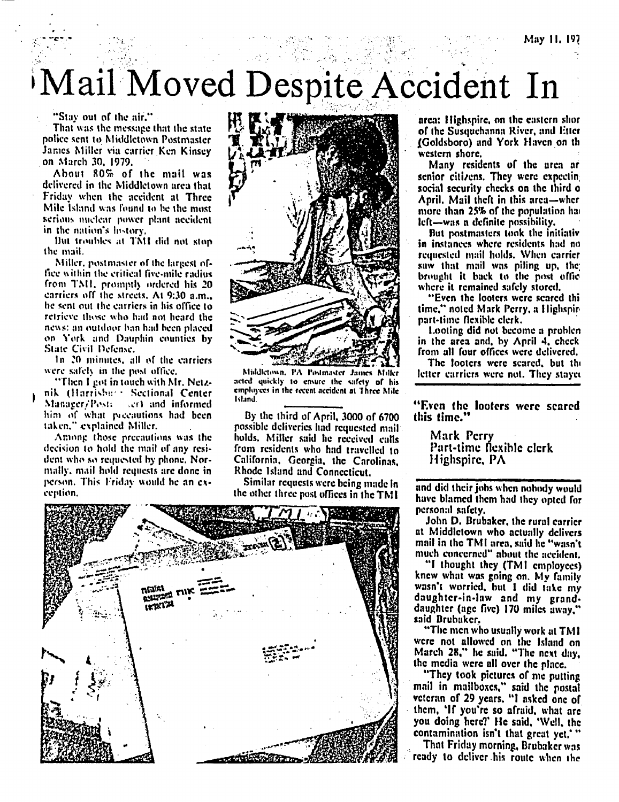# Mail Moved Despite Accident In

"Stay out of the air."

That was the message that the state police sent to Middletown Postmaster James Miller via carrier Ken Kinsey on March 30, 1979.

About 80% of the mail was delivered in the Middletown area that Friday when the accident at Three Mile Island was found to be the most scrious miclear power plant accident in the nation's history,

But troubles at TMI did not stop the mail.

Miller, postmaster of the largest office within the critical five-mile radius from TMI, promptly ordered his 20 carriers off the streets, At 9:30 a.m., he sent out the carriers in his office to retrieve those who had not heard the news; an outdoor ban had been placed on York and Dauphin counties by State Civil Defense.

In 20 minutes, all of the carriers were safely in the post office.

"Then I got in touch with Mr. Netznik (Harrisher) Sectional Center Manager/Postic serf and informed him of what precautions had been taken," explained Miller.

Among those precautions was the decision to hold the mail of any resident who so requested by phone. Normally, mail hold requests are done in person. This Friday would be an exception.



Middletown, PA Postmaster James Miller acted quickly to ensure the safety of his employees in the recent accident at Three Mile Island.

By the third of April, 3000 of 6700 possible deliveries had requested mail holds. Miller said he received calls from residents who had travelled to California, Georgia, the Carolinas. Rhode Island and Connecticut.

Similar requests were being made in the other three post offices in the TMI



area: Highspire, on the eastern shor of the Susouchanna River, and Etter (Goldsboro) and York Haven on th western shore.

Many residents of the area ar senior citizens. They were expecting social security checks on the third o April, Mail theft in this area-wher more than 25% of the population has left-was a definite possibility.

But postmasters took the initiativ in instances where residents had no requested mail holds. When carrier saw that mail was piling up, the brought it back to the post offic where it remained safely stored.

"Even the looters were seared thi time," noted Mark Perry, a Highspirpart-time flexible clerk.

Looting did not become a problen in the area and, by April 4, check from all four offices were delivered.

The looters were scared, but the letter carriers were not. They stayed

"Even the looters were scared this time.'

Mark Perry Part-time flexible clerk Highspire, PA

and did their jobs when nobody would have blamed them had they opted for personal safety.

John D. Brubaker, the rural carrier at Middletown who actually delivers mail in the TMI area, said he "wasn't much concerned" about the accident,

"I thought they (TMI employees) knew what was going on. My family wasn't worried, but I did take my daughter-in-law and my granddaughter (age five) 170 miles away.' said Brubaker.

"The men who usually work at TMI were not allowed on the Island on March 28," he said. "The next day, the media were all over the place.

"They took pictures of me putting mail in mailboxes," said the postal veteran of 29 years. "I asked one of them, 'If you're so afraid, what are you doing here?' He said, 'Well, the contamination isn't that great yet,"

That Friday morning, Brubaker was ready to deliver his route when the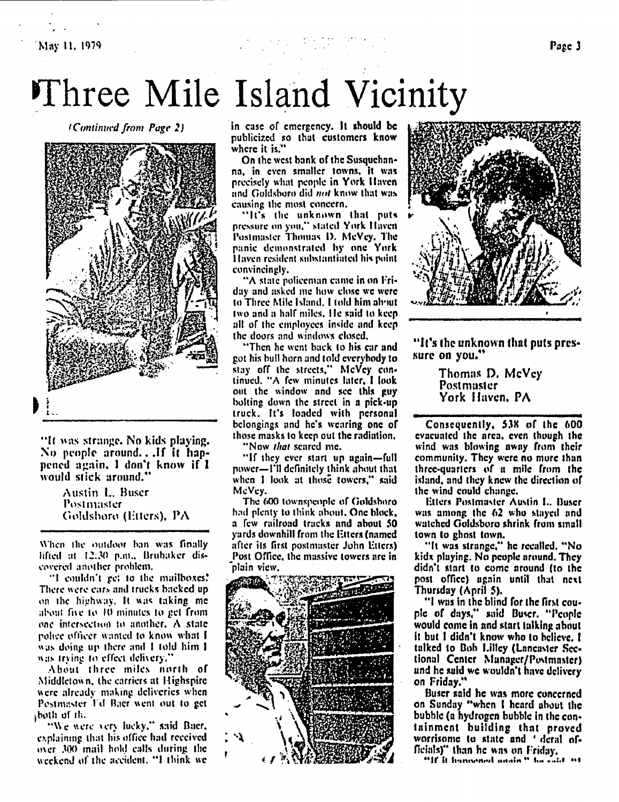## Three Mile Island Vicinity

(Continued from Page 2)



"It was strange. No kids playing. No people around...If it happened again, I don't know if I would stick around.'

> Austin L. Buser Postmaster Goldsboro (Etters), PA

When the outdoor ban was finally lifted at 12:30 p.m., Brubaker discovered another problem.

"I couldn't get to the mailboxes! There were cars and trucks backed up on the highway. It was taking me about five to 10 minutes to get from one intersection to another. A state police officer wanted to know what I was doing up there and I told him I was trying to effect delivery."

About three miles north of Middletown, the carriers at Highspire were already making deliveries when Postmaster Ed Bacr went out to get poth of the

"We were very lucky," said Bacr, explaining that his office had received over 300 mail hold calls during the weekend of the accident, "I think we

in case of emergency. It should be publicized so that customers know where it is."

On the west bank of the Susquehanna, in even smaller towns, it was precisely what people in York Haven and Goldsboro did not know that was causing the most concern,

"It's the unknown that puts pressure on you," stated York Haven Postmaster Thomas D. McVey, The panic demonstrated by one York Haven resident substantiated his point convincingly,

"A state policeman came in on Friday and asked me how close we were to Three Mile Island. I told him about two and a half miles. He said to keep all of the employees inside and keep the doors and windows closed.

"Then he went back to his car and got his bull horn and told everybody to stay off the streets," McVey continued. "A few minutes later, I look out the window and see this guy bolting down the street in a pick-up truck. It's loaded with personal belongings and he's wearing one of those masks to keep out the radiation,

"Now *that* scared me,

"If they ever start up again-full power-I'll definitely think about that when I look at those towers," said McVey.

The 600 townspeople of Goldsboro had plenty to think about. One block, a few railroad tracks and about 50 yards downhill from the Etters (named after its first postmaster John Etters) Post Office, the massive towers are in plain view.





"It's the unknown that puts pressure on you."

> Thomas D. McVey Postmaster York Haven, PA

Consequently, 538 of the 600 evacuated the area, even though the wind was blowing away from their community. They were no more than three-quarters of a mile from the island, and they knew the direction of the wind could change.

Etters Postmaster Austin L. Buser was among the 62 who stayed and watched Goldsboro shrink from small town to ghost town.

"It was strange," he recalled, "No kidx playing. No people around. They didn't start to come around (to the post office) again until that next Thursday (April 5).

"I was in the blind for the first couple of days," said Buser. "People would come in and start talking about it but I didn't know who to believe. I talked to Bob Lilley (Lancaster Sectional Center Manager/Postmaster) and he said we wouldn't have delivery on Friday."

Buser said he was more concerned on Sunday "when I heard about the bubble (a hydrogen bubble in the containment building that proved worrisome to state and 'deral officials)" than he was on Friday.

"If it hangened nooin " ha cald "t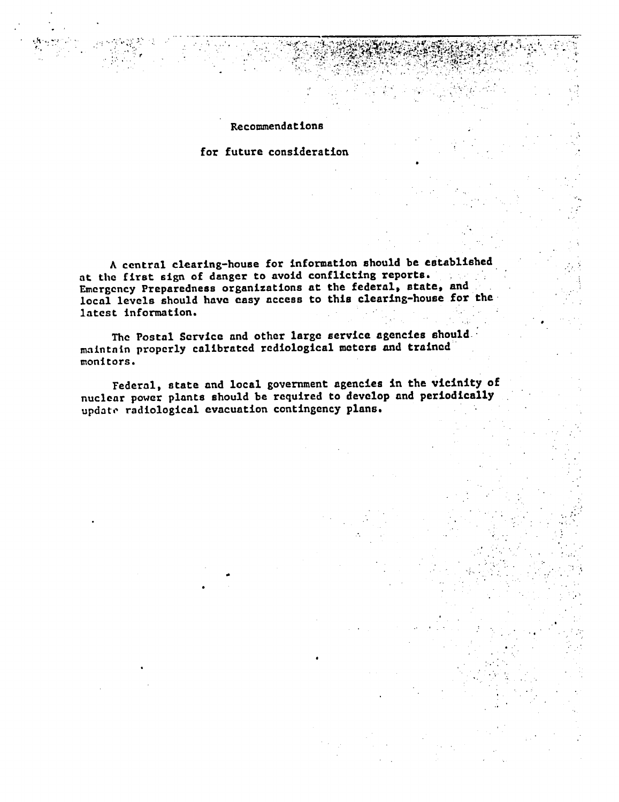Recommendations

**4** ~ AM

 $\sim 5$ t a species in a construction of

for future consideration

A central clearing-house for information should be established at the first sign of danger to avoid conflicting reports. Emergency Preparedness organizations at the federal, state, and local levels should have easy access to this clearing-house for the latest information.

The Postal Service and other large service agencies should maintnin properly calibrated rediological meters and trained monitors.

Federal, state and local government agencies in the vicinity of nuclear power plants should be required to develop and periodically update radiological evacuation contingency plans.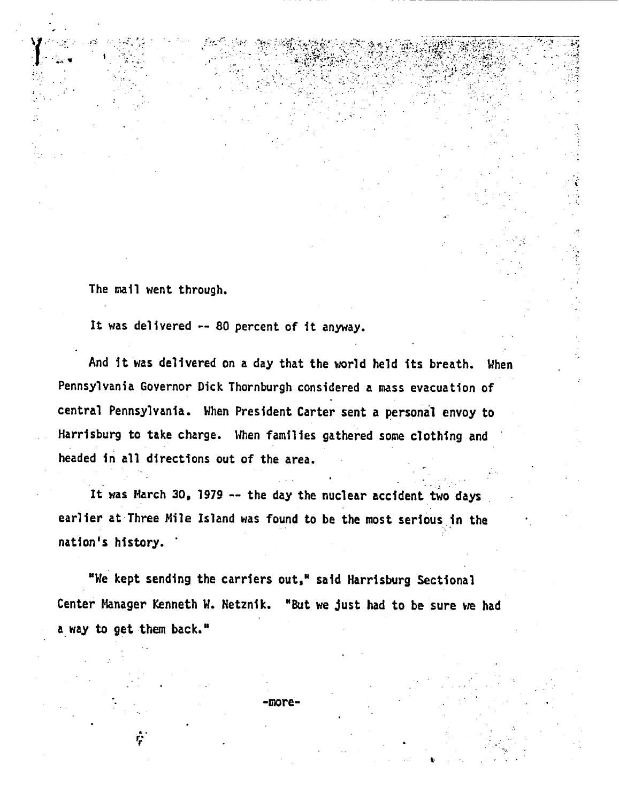The mall went through.

. *r;*

I :

I-.- 1 ... ,.~ .j  $, \bullet$ 

It was delivered -- 80 percent of it anyway.

 $\sim$   $\sim$   $\sim$ I I - <sup>I</sup> -. 1  $\sim$  ,  $\sim$ 

4 44 -r

And it was delivered on a day that the world held its breath. When Pennsylvania Governor Dick Thornburgh considered a mass evacuation of central Pennsylvania. When President Carter sent a personal envoy to Harrisburg to take charge. When families gathered some clothing and headed in all directions out of the area.

It was March **30,** 1979 -- the day the nuclear accident two days earlier at-Three Mile Island was found to be the most serious in the nation's history.

"We kept sending the carriers out," said Harrisburg Sectional Center Manager Kenneth W. Netznik. "But we just had to be sure we had **a** way to get them back."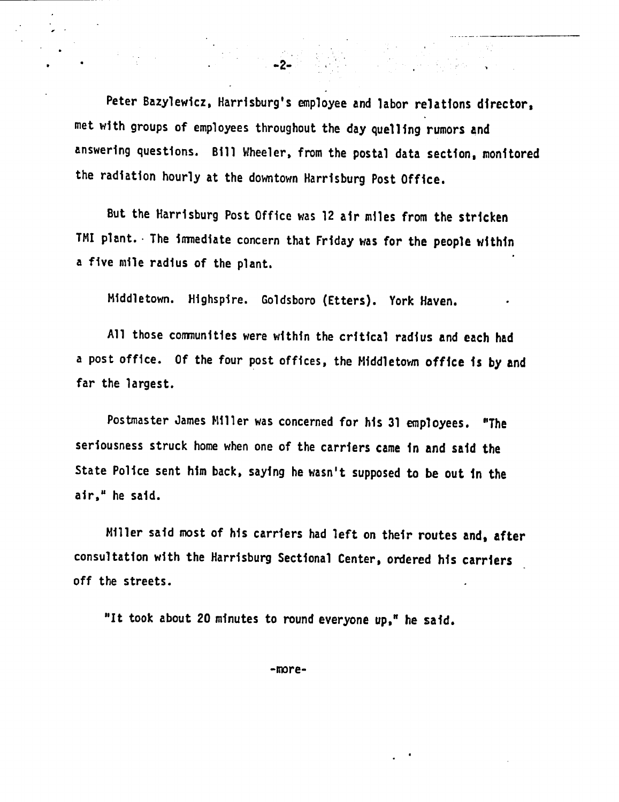Peter Bazylewicz, Harrisburg's employee and labor relations director. met with groups of employees throughout the day quelling rumors and answering questions. Bill Wheeler, from the postal data section, monitored the radiation hourly at the downtown Harrisburg Post Office.

 $\sim$  2- $\sim$ 

But the Harrisburg Post Office was 12 air miles from the stricken TMI plant. The immediate concern that Friday was for the people within a five mile radius of the plant.

Middletown. Highspire. Goldsboro (Etters). York Haven.

All those communities were within the critical radius and each had a post office. Of the four post offices, the Middletown office is by and far the largest.

Postmaster James Miller was concerned for his 31 employees. "The seriousness struck home when one of the carriers came in and said the State Police sent him back, saying he wasn't supposed to be out in the air," he said.

Miller said most of his carriers had left on their routes and, after consultation with the Harrisburg Sectional Center, ordered his carriers off the streets.

"It took about 20 minutes to round everyone up," he said.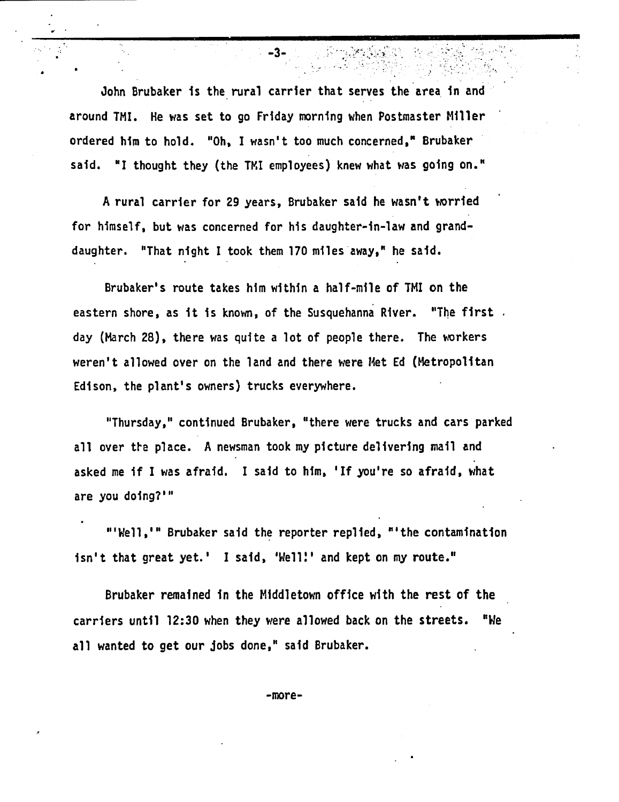John Brubaker is the rural carrier that serves the area in and around TMI. He was set to go Friday morning when Postmaster Miller ordered him to hold. "Oh, I wasn't too much concerned," Brubaker said. "I thought they (the TMI employees) knew what was going on."

-3- -

A rural carrier for 29 years, Brubaker said he wasn't worried for himself, but was concerned for his daughter-in-law and granddaughter. "That night I took them 170 miles away," he said.

Brubaker's route takes him within a half-mile of TMI on the eastern shore, as it is known, of the Susquehanna River. "The first. day (March 28), there was quite a lot of people there. The workers weren't allowed over on the land and there were Met Ed (Metropolitan Edison, the plant's owners) trucks everywhere.

"Thursday," continued Brubaker, "there were trucks and cars parked all over the place. A newsman took my picture delivering mail and asked me if I was afraid. I said to him, 'If you're so afraid, what are you doing?"'

"'Well,'" Brubaker said the reporter replied, "'the contamination isn't that great yet.' I said, 'Well!' and kept on my route."

Brubaker remained in the Middletown office with the rest of the carriers until 12:30 when they were allowed back on the streets. "We all wanted to get our Jobs done," said Brubaker.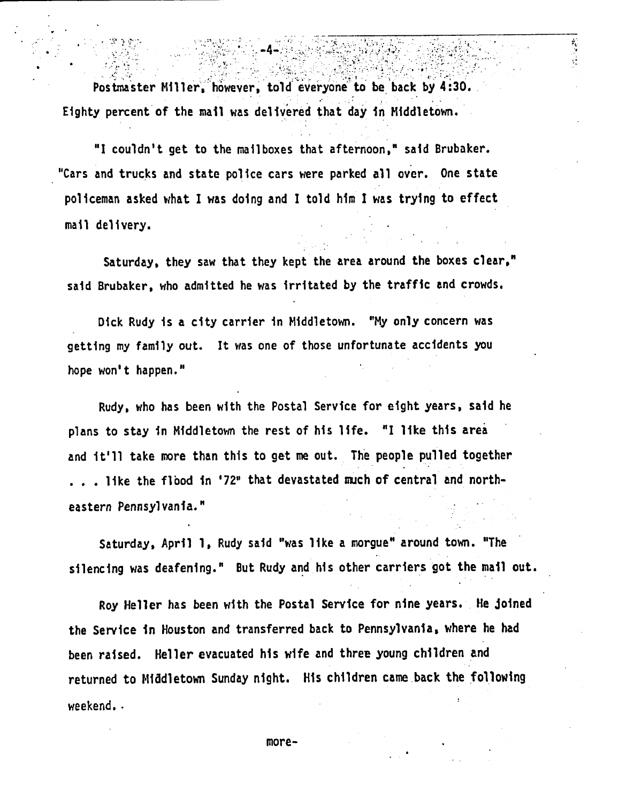Postmaster Miller, however, told everyone to be back by 4:30. Eighty percent of the mall was delivered that day in Middletown.

\_ *. .A* \*- - . -

 $\frac{1}{2}$ 

"I couldn't get to the mailboxes that afternoon," said Brubaker. "Cars and trucks and state police cars were parked all over. One state policeman asked what I was doing and I told him I was trying to effect mail delivery.

Saturday, they saw that they kept the area around the boxes clear." said Brubaker, who admitted he was irritated by the traffic and crowds.

Dick Rudy is a city carrier in Middletown. "My only concern was getting my family out. It was one of those unfortunate accidents you hope won't happen."

Rudy, who has been with the Postal Service for eight years, said he plans to stay In Middletown the rest of his life. "I like this area and it'll take more than this to get me out. The people pulled together . . . like the flood in '72" that devastated much of central and northeastern Pennsylvania."

Saturday, April 1, Rudy said "was like a morgue" around town. "The silencing was deafening." But Rudy and his other carriers got the mail out.

Roy Heller has been with the Postal Service for nine years. He Joined the Service in Houston and transferred back to Pennsylvania, where he had been raised. Heller evacuated his wife and three young children and returned to Middletown Sunday night. His children came back the following weekend..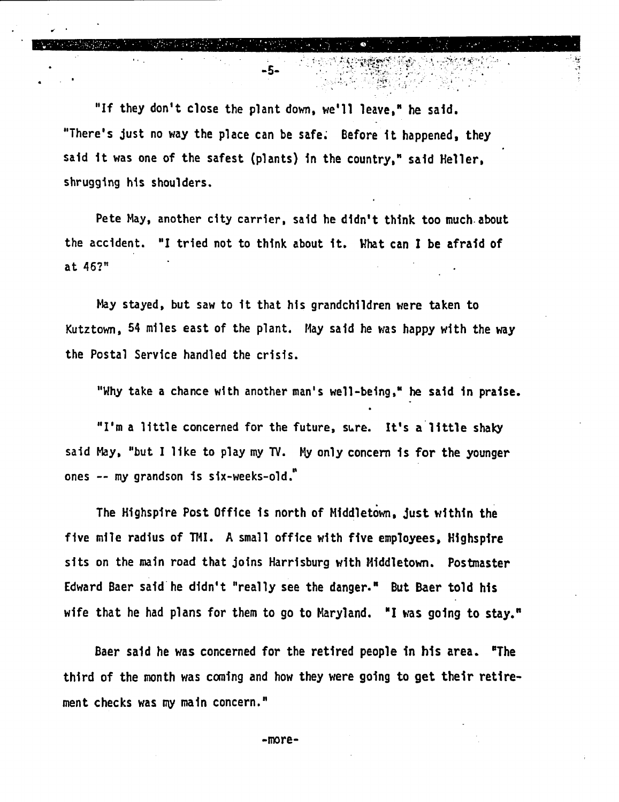"If they don't close the plant down, we'll leave," he said. "There's Just no way the place can be safe; Before it happened, they said it was one of the safest (plants) in the country," said Heller, shrugging his shoulders.

 $\frac{1}{\sqrt{2}}$  . The contract of the contract of the contract of the contract of the contract of the contract of the contract of the contract of the contract of the contract of the contract of the contract of the contract o

-- John Hotel Hotel Hotel Hotel Hotel Hotel Hotel Hotel Hotel Hotel Hotel Hotel Hotel Hotel Hotel Hotel Hotel

Pete May, another city carrier, said he didn't think too much about the accident. "I tried not to think about it. What can I be afraid of at 46?"

May stayed, but saw to it that his grandchildren were taken to Kutztown, 54 miles east of the plant. May said he was happy with the way the Postal Service handled the crisis.

"Why take a chance with another man's well-being," he said in praise.

"I'm a little concerned for the future, sure. It's a little shaky said May, "but I like to play my **TV.** My only concern is for the younger ones -- my grandson is six-weeks-old."

The Highspire Post Office is north of Mliddletown, Just within the five mile radius of TMI. A small office with five employees, Highspire sits on the main road that Joins Harrisburg with Mliddletown. Postmaster Edward Baer said he didn't "really see the danger." But Baer told his wife that he had plans for them to go to Maryland. "I was going to stay."

Baer said he was concerned for the retired people in his area. 'The third of the month was caning and how they were going to get their retirement checks was my main concern."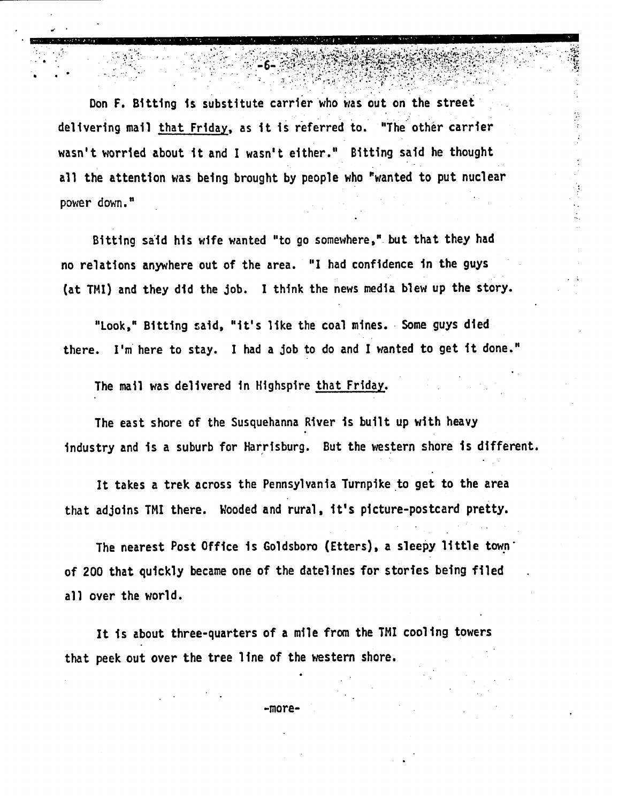Don F. Bitting is substitute carrier who was out on the street delivering mail that Friday, as it is referred to. "The other carrier wasn't worried about it and I wasn't either." Bitting said he thought all the attention was being brought by people who 'wanted to put nuclear power down."

 $\mathcal{F} = \{ \mathbf{y} \in \mathbb{R}^d : \mathcal{F} \in \mathbb{R}^d \mid \mathcal{F} \in \mathbb{R}^d \mid \mathcal{F} \in \mathbb{R}^d \mid \mathcal{F} \in \mathbb{R}^d \mid \mathcal{F} \in \mathbb{R}^d \mid \mathcal{F} \in \mathbb{R}^d \mid \mathcal{F} \in \mathbb{R}^d \mid \mathcal{F} \in \mathbb{R}^d \mid \mathcal{F} \in \mathbb{R}^d \mid \mathcal{F} \in \mathbb{R}^d \mid \mathcal{F} \in \mathbb{R}$ 

Bitting said his wife wanted "to go somewhere," but that they had no relations anywhere out of the area. "I had confidence in the guys (at TMI) and they did the Job. I think the news media blew up the story.

"Look," Bitting said, "it's like the coal mines. Some guys died there. I'm here to stay. I had a Job to do and I wanted to get it done."

The mail was delivered in Highspire that Friday.

The east shore of the Susquehanna River is built up with heavy industry and is a suburb for Harrisburg. But the western shore is different.

It takes a trek across the Pennsylvania Turnpike to get to the area that adJoins TMI there. Wooded and rural, it's picture-postcard pretty.

The nearest Post Office is Goldsboro (Etters), a sleepy little town of 200 that quickly became one of the datelines for stories being filed all over the world.

It is about three-quarters of a mile from the TMI cooling towers that peek out over the tree line of the western shore.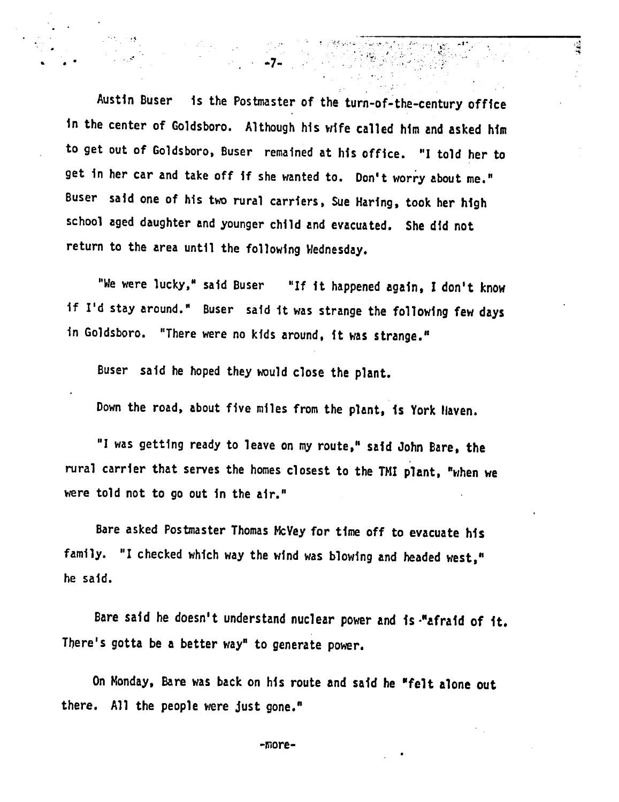Austin Buser is the Postmaster of the turn-of-the-century office in the center of Goldsboro. Although his wife called him and asked him to get out of Goldsboro, Buser remained at his office. "I told her to get in her car and take off if she wanted to. Don't worry about me." Buser said one of his two rural carriers, Sue Haring, took her high school aged daughter and younger child and evacuated. She did not return to the area until the following Wednesday.

á.

"We were lucky," said Buser "If it happened again, I don't know if I'd stay around." Buser said it was strange the following few days in Goldsboro. "There were no kids around, it was strange."

Buser said he hoped they would close the plant.

Down the road, about five miles from the plant, is York Haven.

"I was getting ready to leave on my route," said John Bare, the rural carrier that serves the homes closest to the TMI plant, "when we were told not to go out in the air."

Bare asked Postmaster Thomas McVey for time off to evacuate his family. "I checked which way the wind was blowing and headed west," he said.

Bare said he doesn't understand nuclear power and is-"afraid of it. There's gotta be a better way" to generate power.

On Monday, Bare was back on his route and said he 'felt alone out there. All the people were Just gone."

-inore-